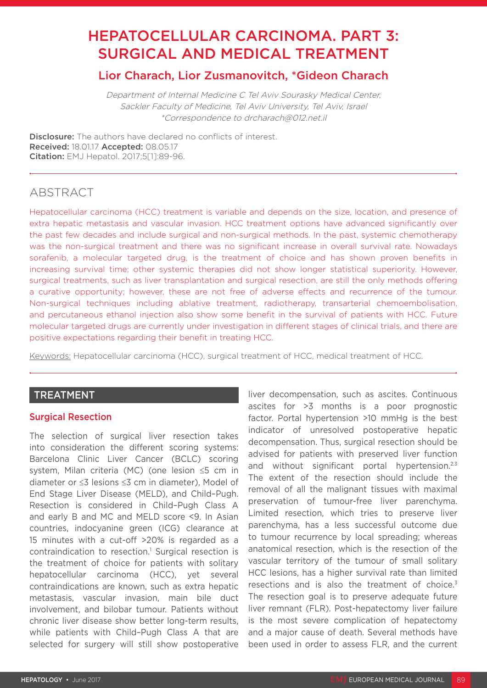# HEPATOCELLULAR CARCINOMA. PART 3: SURGICAL AND MEDICAL TREATMENT

# Lior Charach, Lior Zusmanovitch, \*Gideon Charach

Department of Internal Medicine C Tel Aviv Sourasky Medical Center, Sackler Faculty of Medicine, Tel Aviv University, Tel Aviv, Israel \*Correspondence to drcharach@012.net.il

**Disclosure:** The authors have declared no conflicts of interest. Received: 18.01.17 Accepted: 08.05.17 Citation: EMJ Hepatol. 2017;5[1]:89-96.

# ABSTRACT

Hepatocellular carcinoma (HCC) treatment is variable and depends on the size, location, and presence of extra hepatic metastasis and vascular invasion. HCC treatment options have advanced significantly over the past few decades and include surgical and non-surgical methods. In the past, systemic chemotherapy was the non-surgical treatment and there was no significant increase in overall survival rate. Nowadays sorafenib, a molecular targeted drug, is the treatment of choice and has shown proven benefits in increasing survival time; other systemic therapies did not show longer statistical superiority. However, surgical treatments, such as liver transplantation and surgical resection, are still the only methods offering a curative opportunity; however, these are not free of adverse effects and recurrence of the tumour. Non-surgical techniques including ablative treatment, radiotherapy, transarterial chemoembolisation, and percutaneous ethanol injection also show some benefit in the survival of patients with HCC. Future molecular targeted drugs are currently under investigation in different stages of clinical trials, and there are positive expectations regarding their benefit in treating HCC.

Keywords: Hepatocellular carcinoma (HCC), surgical treatment of HCC, medical treatment of HCC.

# TREATMENT

# Surgical Resection

The selection of surgical liver resection takes into consideration the different scoring systems: Barcelona Clinic Liver Cancer (BCLC) scoring system, Milan criteria (MC) (one lesion ≤5 cm in diameter or ≤3 lesions ≤3 cm in diameter), Model of End Stage Liver Disease (MELD), and Child–Pugh. Resection is considered in Child–Pugh Class A and early B and MC and MELD score <9. In Asian countries, indocyanine green (ICG) clearance at 15 minutes with a cut-off >20% is regarded as a contraindication to resection.<sup>1</sup> Surgical resection is the treatment of choice for patients with solitary hepatocellular carcinoma (HCC), yet several contraindications are known, such as extra hepatic metastasis, vascular invasion, main bile duct involvement, and bilobar tumour. Patients without chronic liver disease show better long-term results, while patients with Child-Pugh Class A that are selected for surgery will still show postoperative

liver decompensation, such as ascites. Continuous ascites for >3 months is a poor prognostic factor. Portal hypertension >10 mmHg is the best indicator of unresolved postoperative hepatic decompensation. Thus, surgical resection should be advised for patients with preserved liver function and without significant portal hypertension.<sup>2,3</sup> The extent of the resection should include the removal of all the malignant tissues with maximal preservation of tumour-free liver parenchyma. Limited resection, which tries to preserve liver parenchyma, has a less successful outcome due to tumour recurrence by local spreading; whereas anatomical resection, which is the resection of the vascular territory of the tumour of small solitary HCC lesions, has a higher survival rate than limited resections and is also the treatment of choice.<sup>3</sup> The resection goal is to preserve adequate future liver remnant (FLR). Post-hepatectomy liver failure is the most severe complication of hepatectomy and a major cause of death. Several methods have been used in order to assess FLR, and the current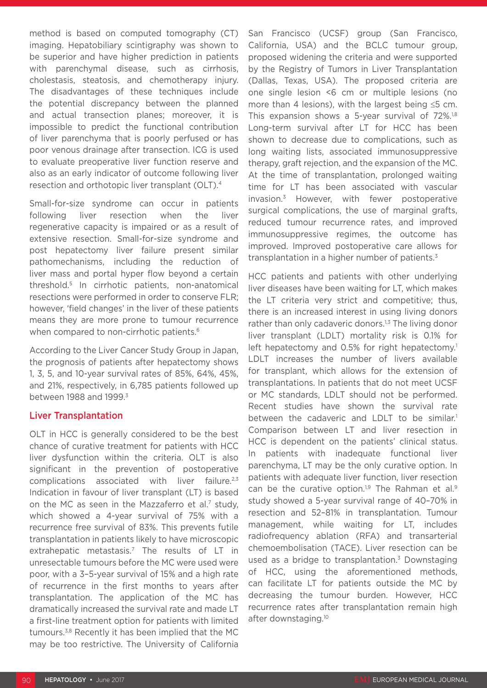method is based on computed tomography (CT) imaging. Hepatobiliary scintigraphy was shown to be superior and have higher prediction in patients with parenchymal disease, such as cirrhosis, cholestasis, steatosis, and chemotherapy injury. The disadvantages of these techniques include the potential discrepancy between the planned and actual transection planes; moreover, it is impossible to predict the functional contribution of liver parenchyma that is poorly perfused or has poor venous drainage after transection. ICG is used to evaluate preoperative liver function reserve and also as an early indicator of outcome following liver resection and orthotopic liver transplant (OLT).4

Small-for-size syndrome can occur in patients following liver resection when the liver regenerative capacity is impaired or as a result of extensive resection. Small-for-size syndrome and post hepatectomy liver failure present similar pathomechanisms, including the reduction of liver mass and portal hyper flow beyond a certain threshold.5 In cirrhotic patients, non-anatomical resections were performed in order to conserve FLR; however, 'field changes' in the liver of these patients means they are more prone to tumour recurrence when compared to non-cirrhotic patients.<sup>6</sup>

According to the Liver Cancer Study Group in Japan, the prognosis of patients after hepatectomy shows 1, 3, 5, and 10-year survival rates of 85%, 64%, 45%, and 21%, respectively, in 6,785 patients followed up between 1988 and 1999.<sup>3</sup>

# Liver Transplantation

OLT in HCC is generally considered to be the best chance of curative treatment for patients with HCC liver dysfunction within the criteria. OLT is also significant in the prevention of postoperative complications associated with liver failure.<sup>2,3</sup> Indication in favour of liver transplant (LT) is based on the MC as seen in the Mazzaferro et al.<sup>7</sup> study, which showed a 4-year survival of 75% with a recurrence free survival of 83%. This prevents futile transplantation in patients likely to have microscopic extrahepatic metastasis.<sup>7</sup> The results of LT in unresectable tumours before the MC were used were poor, with a 3–5-year survival of 15% and a high rate of recurrence in the first months to years after transplantation. The application of the MC has dramatically increased the survival rate and made LT a first-line treatment option for patients with limited tumours.3,8 Recently it has been implied that the MC may be too restrictive. The University of California

San Francisco (UCSF) group (San Francisco, California, USA) and the BCLC tumour group, proposed widening the criteria and were supported by the Registry of Tumors in Liver Transplantation (Dallas, Texas, USA). The proposed criteria are one single lesion <6 cm or multiple lesions (no more than 4 lesions), with the largest being ≤5 cm. This expansion shows a 5-year survival of 72%.<sup>1,8</sup> Long-term survival after LT for HCC has been shown to decrease due to complications, such as long waiting lists, associated immunosuppressive therapy, graft rejection, and the expansion of the MC. At the time of transplantation, prolonged waiting time for LT has been associated with vascular invasion.3 However, with fewer postoperative surgical complications, the use of marginal grafts, reduced tumour recurrence rates, and improved immunosuppressive regimes, the outcome has improved. Improved postoperative care allows for transplantation in a higher number of patients.<sup>3</sup>

HCC patients and patients with other underlying liver diseases have been waiting for LT, which makes the LT criteria very strict and competitive; thus, there is an increased interest in using living donors rather than only cadaveric donors.<sup>1,3</sup> The living donor liver transplant (LDLT) mortality risk is 0.1% for left hepatectomy and 0.5% for right hepatectomy.<sup>1</sup> LDLT increases the number of livers available for transplant, which allows for the extension of transplantations. In patients that do not meet UCSF or MC standards, LDLT should not be performed. Recent studies have shown the survival rate between the cadaveric and LDLT to be similar.<sup>1</sup> Comparison between LT and liver resection in HCC is dependent on the patients' clinical status. In patients with inadequate functional liver parenchyma, LT may be the only curative option. In patients with adequate liver function, liver resection can be the curative option.<sup>1,9</sup> The Rahman et al.<sup>9</sup> study showed a 5-year survival range of 40–70% in resection and 52–81% in transplantation. Tumour management, while waiting for LT, includes radiofrequency ablation (RFA) and transarterial chemoembolisation (TACE). Liver resection can be used as a bridge to transplantation.<sup>3</sup> Downstaging of HCC, using the aforementioned methods, can facilitate LT for patients outside the MC by decreasing the tumour burden. However, HCC recurrence rates after transplantation remain high after downstaging.10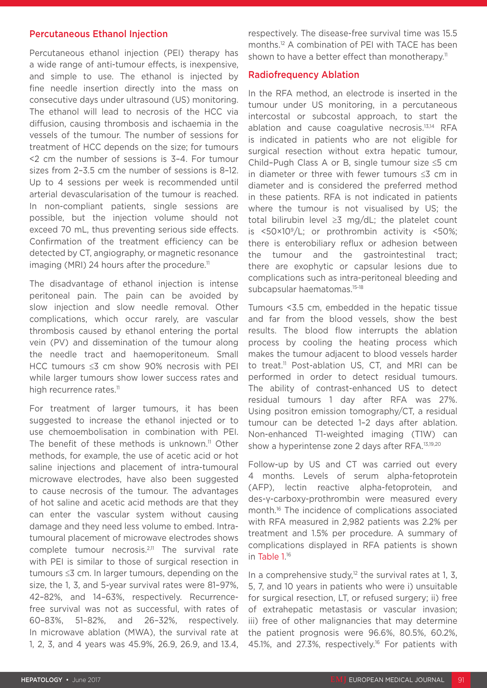#### Percutaneous Ethanol Injection

Percutaneous ethanol injection (PEI) therapy has a wide range of anti-tumour effects, is inexpensive, and simple to use. The ethanol is injected by fine needle insertion directly into the mass on consecutive days under ultrasound (US) monitoring. The ethanol will lead to necrosis of the HCC via diffusion, causing thrombosis and ischaemia in the vessels of the tumour. The number of sessions for treatment of HCC depends on the size; for tumours <2 cm the number of sessions is 3–4. For tumour sizes from 2–3.5 cm the number of sessions is 8–12. Up to 4 sessions per week is recommended until arterial devascularisation of the tumour is reached. In non-compliant patients, single sessions are possible, but the injection volume should not exceed 70 mL, thus preventing serious side effects. Confirmation of the treatment efficiency can be detected by CT, angiography, or magnetic resonance imaging (MRI) 24 hours after the procedure.<sup>11</sup>

The disadvantage of ethanol injection is intense peritoneal pain. The pain can be avoided by slow injection and slow needle removal. Other complications, which occur rarely, are vascular thrombosis caused by ethanol entering the portal vein (PV) and dissemination of the tumour along the needle tract and haemoperitoneum. Small HCC tumours ≤3 cm show 90% necrosis with PEI while larger tumours show lower success rates and high recurrence rates.<sup>11</sup>

For treatment of larger tumours, it has been suggested to increase the ethanol injected or to use chemoembolisation in combination with PEI. The benefit of these methods is unknown.<sup>11</sup> Other methods, for example, the use of acetic acid or hot saline injections and placement of intra-tumoural microwave electrodes, have also been suggested to cause necrosis of the tumour. The advantages of hot saline and acetic acid methods are that they can enter the vascular system without causing damage and they need less volume to embed. Intratumoural placement of microwave electrodes shows complete tumour necrosis.2,11 The survival rate with PEI is similar to those of surgical resection in tumours ≤3 cm. In larger tumours, depending on the size, the 1, 3, and 5-year survival rates were 81–97%, 42–82%, and 14–63%, respectively. Recurrencefree survival was not as successful, with rates of 60–83%, 51–82%, and 26–32%, respectively. In microwave ablation (MWA), the survival rate at 1, 2, 3, and 4 years was 45.9%, 26.9, 26.9, and 13.4,

respectively. The disease-free survival time was 15.5 months.12 A combination of PEI with TACE has been shown to have a better effect than monotherapy.<sup>11</sup>

#### Radiofrequency Ablation

In the RFA method, an electrode is inserted in the tumour under US monitoring, in a percutaneous intercostal or subcostal approach, to start the ablation and cause coagulative necrosis.13,14 RFA is indicated in patients who are not eligible for surgical resection without extra hepatic tumour, Child–Pugh Class A or B, single tumour size ≤5 cm in diameter or three with fewer tumours ≤3 cm in diameter and is considered the preferred method in these patients. RFA is not indicated in patients where the tumour is not visualised by US; the total bilirubin level ≥3 mg/dL; the platelet count is  $\langle 50 \times 10^9 / L$ ; or prothrombin activity is  $\langle 50 \rangle$ ; there is enterobiliary reflux or adhesion between the tumour and the gastrointestinal tract; there are exophytic or capsular lesions due to complications such as intra-peritoneal bleeding and subcapsular haematomas.15-18

Tumours <3.5 cm, embedded in the hepatic tissue and far from the blood vessels, show the best results. The blood flow interrupts the ablation process by cooling the heating process which makes the tumour adjacent to blood vessels harder to treat.<sup>11</sup> Post-ablation US, CT, and MRI can be performed in order to detect residual tumours. The ability of contrast-enhanced US to detect residual tumours 1 day after RFA was 27%. Using positron emission tomography/CT, a residual tumour can be detected 1–2 days after ablation. Non-enhanced T1-weighted imaging (T1W) can show a hyperintense zone 2 days after RFA.<sup>13,19,20</sup>

Follow-up by US and CT was carried out every 4 months. Levels of serum alpha-fetoprotein (AFP), lectin reactive alpha-fetoprotein, and des-γ-carboxy-prothrombin were measured every month.<sup>16</sup> The incidence of complications associated with RFA measured in 2,982 patients was 2.2% per treatment and 1.5% per procedure. A summary of complications displayed in RFA patients is shown in Table 1.<sup>16</sup>

In a comprehensive study, $12$  the survival rates at 1, 3, 5, 7, and 10 years in patients who were i) unsuitable for surgical resection, LT, or refused surgery; ii) free of extrahepatic metastasis or vascular invasion; iii) free of other malignancies that may determine the patient prognosis were 96.6%, 80.5%, 60.2%, 45.1%, and 27.3%, respectively.<sup>16</sup> For patients with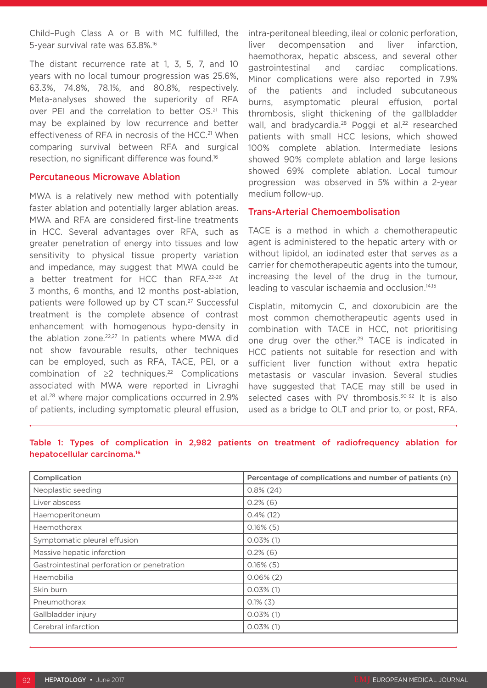Child–Pugh Class A or B with MC fulfilled, the 5-year survival rate was 63.8%.16

The distant recurrence rate at 1, 3, 5, 7, and 10 years with no local tumour progression was 25.6%, 63.3%, 74.8%, 78.1%, and 80.8%, respectively. Meta-analyses showed the superiority of RFA over PEI and the correlation to better OS.<sup>21</sup> This may be explained by low recurrence and better effectiveness of RFA in necrosis of the HCC.<sup>21</sup> When comparing survival between RFA and surgical resection, no significant difference was found.16

#### Percutaneous Microwave Ablation

MWA is a relatively new method with potentially faster ablation and potentially larger ablation areas. MWA and RFA are considered first-line treatments in HCC. Several advantages over RFA, such as greater penetration of energy into tissues and low sensitivity to physical tissue property variation and impedance, may suggest that MWA could be a better treatment for HCC than RFA.22-26 At 3 months, 6 months, and 12 months post-ablation, patients were followed up by CT scan.<sup>27</sup> Successful treatment is the complete absence of contrast enhancement with homogenous hypo-density in the ablation zone.<sup>22,27</sup> In patients where MWA did not show favourable results, other techniques can be employed, such as RFA, TACE, PEI, or a combination of  $\geq 2$  techniques.<sup>22</sup> Complications associated with MWA were reported in Livraghi et al.28 where major complications occurred in 2.9% of patients, including symptomatic pleural effusion, intra-peritoneal bleeding, ileal or colonic perforation, liver decompensation and liver infarction, haemothorax, hepatic abscess, and several other gastrointestinal and cardiac complications. Minor complications were also reported in 7.9% of the patients and included subcutaneous burns, asymptomatic pleural effusion, portal thrombosis, slight thickening of the gallbladder wall, and bradycardia.<sup>28</sup> Poggi et al.<sup>22</sup> researched patients with small HCC lesions, which showed 100% complete ablation. Intermediate lesions showed 90% complete ablation and large lesions showed 69% complete ablation. Local tumour progression was observed in 5% within a 2-year medium follow-up.

# Trans-Arterial Chemoembolisation

TACE is a method in which a chemotherapeutic agent is administered to the hepatic artery with or without lipidol, an iodinated ester that serves as a carrier for chemotherapeutic agents into the tumour, increasing the level of the drug in the tumour, leading to vascular ischaemia and occlusion.14,15

Cisplatin, mitomycin C, and doxorubicin are the most common chemotherapeutic agents used in combination with TACE in HCC, not prioritising one drug over the other.<sup>29</sup> TACE is indicated in HCC patients not suitable for resection and with sufficient liver function without extra hepatic metastasis or vascular invasion. Several studies have suggested that TACE may still be used in selected cases with PV thrombosis.<sup>30-32</sup> It is also used as a bridge to OLT and prior to, or post, RFA.

| Complication                                | Percentage of complications and number of patients (n) |
|---------------------------------------------|--------------------------------------------------------|
| Neoplastic seeding                          | $0.8\%$ (24)                                           |
| Liver abscess                               | $0.2\%$ (6)                                            |
| Haemoperitoneum                             | $0.4\%$ (12)                                           |
| Haemothorax                                 | $0.16\%$ (5)                                           |
| Symptomatic pleural effusion                | $0.03\%$ (1)                                           |
| Massive hepatic infarction                  | $0.2\%$ (6)                                            |
| Gastrointestinal perforation or penetration | $0.16\%$ (5)                                           |
| Haemobilia                                  | $0.06\%$ (2)                                           |
| Skin burn                                   | $0.03\%$ (1)                                           |
| Pneumothorax                                | $0.1\%$ (3)                                            |
| Gallbladder injury                          | $0.03\%$ (1)                                           |
| Cerebral infarction                         | $0.03\%$ (1)                                           |

# Table 1: Types of complication in 2,982 patients on treatment of radiofrequency ablation for hepatocellular carcinoma.16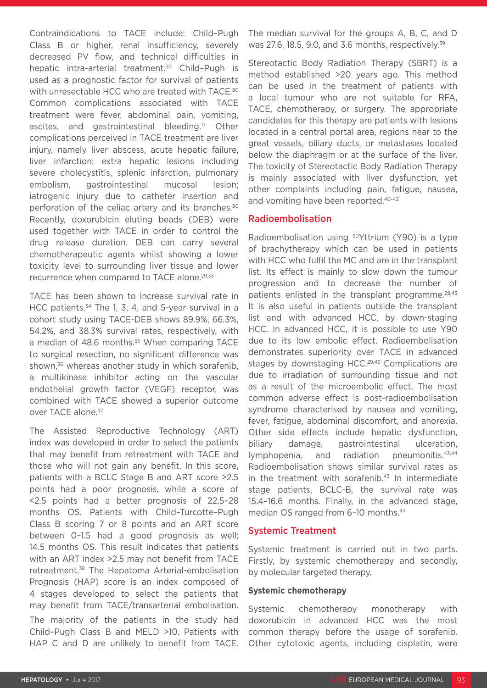Contraindications to TACE include: Child–Pugh Class B or higher, renal insufficiency, severely decreased PV flow, and technical difficulties in hepatic intra-arterial treatment.<sup>30</sup> Child-Pugh is used as a prognostic factor for survival of patients with unresectable HCC who are treated with TACE.<sup>30</sup> Common complications associated with TACE treatment were fever, abdominal pain, vomiting, ascites, and gastrointestinal bleeding.<sup>17</sup> Other complications perceived in TACE treatment are liver injury, namely liver abscess, acute hepatic failure, liver infarction; extra hepatic lesions including severe cholecystitis, splenic infarction, pulmonary embolism, gastrointestinal mucosal lesion; iatrogenic injury due to catheter insertion and perforation of the celiac artery and its branches.<sup>30</sup> Recently, doxorubicin eluting beads (DEB) were used together with TACE in order to control the drug release duration. DEB can carry several chemotherapeutic agents whilst showing a lower toxicity level to surrounding liver tissue and lower recurrence when compared to TACE alone.<sup>29,33</sup>

TACE has been shown to increase survival rate in HCC patients.<sup>34</sup> The 1, 3, 4, and 5-year survival in a cohort study using TACE-DEB shows 89.9%, 66.3%, 54.2%, and 38.3% survival rates, respectively, with a median of 48.6 months.<sup>35</sup> When comparing TACE to surgical resection, no significant difference was shown,<sup>36</sup> whereas another study in which sorafenib, a multikinase inhibitor acting on the vascular endothelial growth factor (VEGF) receptor, was combined with TACE showed a superior outcome over TACE alone.<sup>37</sup>

The Assisted Reproductive Technology (ART) index was developed in order to select the patients that may benefit from retreatment with TACE and those who will not gain any benefit. In this score, patients with a BCLC Stage B and ART score >2.5 points had a poor prognosis, while a score of <2.5 points had a better prognosis of 22.5–28 months OS. Patients with Child–Turcotte–Pugh Class B scoring 7 or 8 points and an ART score between 0–1.5 had a good prognosis as well; 14.5 months OS. This result indicates that patients with an ART index >2.5 may not benefit from TACE retreatment.38 The Hepatoma Arterial-embolisation Prognosis (HAP) score is an index composed of 4 stages developed to select the patients that may benefit from TACE/transarterial embolisation.

The majority of the patients in the study had Child–Pugh Class B and MELD >10. Patients with HAP C and D are unlikely to benefit from TACE. The median survival for the groups A, B, C, and D was 27.6, 18.5, 9.0, and 3.6 months, respectively.<sup>39</sup>

Stereotactic Body Radiation Therapy (SBRT) is a method established >20 years ago. This method can be used in the treatment of patients with a local tumour who are not suitable for RFA, TACE, chemotherapy, or surgery. The appropriate candidates for this therapy are patients with lesions located in a central portal area, regions near to the great vessels, biliary ducts, or metastases located below the diaphragm or at the surface of the liver. The toxicity of Stereotactic Body Radiation Therapy is mainly associated with liver dysfunction, yet other complaints including pain, fatigue, nausea, and vomiting have been reported.40-42

# Radioembolisation

Radioembolisation using <sup>90</sup>Yttrium (Y90) is a type of brachytherapy which can be used in patients with HCC who fulfil the MC and are in the transplant list. Its effect is mainly to slow down the tumour progression and to decrease the number of patients enlisted in the transplant programme.<sup>29,43</sup> It is also useful in patients outside the transplant list and with advanced HCC, by down-staging HCC. In advanced HCC, it is possible to use Y90 due to its low embolic effect. Radioembolisation demonstrates superiority over TACE in advanced stages by downstaging HCC.<sup>29,43</sup> Complications are due to irradiation of surrounding tissue and not as a result of the microembolic effect. The most common adverse effect is post-radioembolisation syndrome characterised by nausea and vomiting, fever, fatigue, abdominal discomfort, and anorexia. Other side effects include hepatic dysfunction, biliary damage, gastrointestinal ulceration, lymphopenia, and radiation pneumonitis.<sup>43,44</sup> Radioembolisation shows similar survival rates as in the treatment with sorafenib. $43$  In intermediate stage patients, BCLC-B, the survival rate was 15.4–16.6 months. Finally, in the advanced stage, median OS ranged from 6-10 months.<sup>44</sup>

# Systemic Treatment

Systemic treatment is carried out in two parts. Firstly, by systemic chemotherapy and secondly, by molecular targeted therapy.

#### **Systemic chemotherapy**

Systemic chemotherapy monotherapy with doxorubicin in advanced HCC was the most common therapy before the usage of sorafenib. Other cytotoxic agents, including cisplatin, were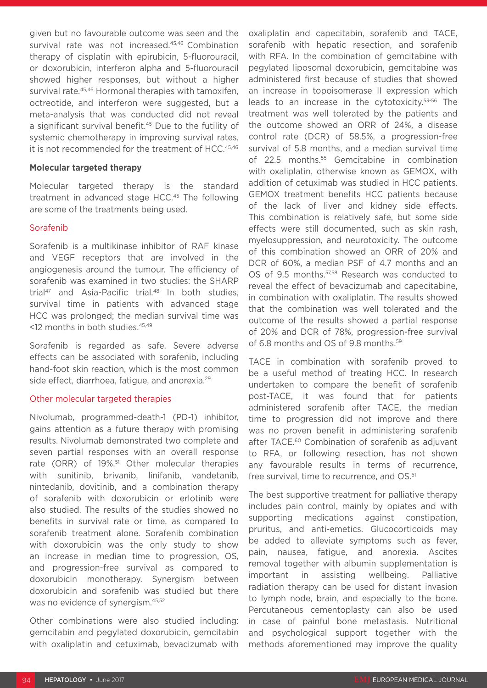given but no favourable outcome was seen and the survival rate was not increased.<sup>45,46</sup> Combination therapy of cisplatin with epirubicin, 5-fluorouracil, or doxorubicin, interferon alpha and 5-fluorouracil showed higher responses, but without a higher survival rate.<sup>45,46</sup> Hormonal therapies with tamoxifen, octreotide, and interferon were suggested, but a meta-analysis that was conducted did not reveal a significant survival benefit.<sup>45</sup> Due to the futility of systemic chemotherapy in improving survival rates, it is not recommended for the treatment of HCC.45,46

#### **Molecular targeted therapy**

Molecular targeted therapy is the standard treatment in advanced stage HCC.<sup>45</sup> The following are some of the treatments being used.

#### Sorafenib

Sorafenib is a multikinase inhibitor of RAF kinase and VEGF receptors that are involved in the angiogenesis around the tumour. The efficiency of sorafenib was examined in two studies: the SHARP trial<sup>47</sup> and Asia-Pacific trial.<sup>48</sup> In both studies, survival time in patients with advanced stage HCC was prolonged; the median survival time was <12 months in both studies.45,49

Sorafenib is regarded as safe. Severe adverse effects can be associated with sorafenib, including hand-foot skin reaction, which is the most common side effect, diarrhoea, fatigue, and anorexia.29

#### Other molecular targeted therapies

Nivolumab, programmed-death-1 (PD-1) inhibitor, gains attention as a future therapy with promising results. Nivolumab demonstrated two complete and seven partial responses with an overall response rate (ORR) of 19%.<sup>51</sup> Other molecular therapies with sunitinib, brivanib, linifanib, vandetanib, nintedanib, dovitinib, and a combination therapy of sorafenib with doxorubicin or erlotinib were also studied. The results of the studies showed no benefits in survival rate or time, as compared to sorafenib treatment alone. Sorafenib combination with doxorubicin was the only study to show an increase in median time to progression, OS, and progression-free survival as compared to doxorubicin monotherapy. Synergism between doxorubicin and sorafenib was studied but there was no evidence of synergism.45,52

Other combinations were also studied including: gemcitabin and pegylated doxorubicin, gemcitabin with oxaliplatin and cetuximab, bevacizumab with oxaliplatin and capecitabin, sorafenib and TACE, sorafenib with hepatic resection, and sorafenib with RFA. In the combination of gemcitabine with pegylated liposomal doxorubicin, gemcitabine was administered first because of studies that showed an increase in topoisomerase II expression which leads to an increase in the cytotoxicity.53-56 The treatment was well tolerated by the patients and the outcome showed an ORR of 24%, a disease control rate (DCR) of 58.5%, a progression-free survival of 5.8 months, and a median survival time of 22.5 months.<sup>55</sup> Gemcitabine in combination with oxaliplatin, otherwise known as GEMOX, with addition of cetuximab was studied in HCC patients. GEMOX treatment benefits HCC patients because of the lack of liver and kidney side effects. This combination is relatively safe, but some side effects were still documented, such as skin rash, myelosuppression, and neurotoxicity. The outcome of this combination showed an ORR of 20% and DCR of 60%, a median PSF of 4.7 months and an OS of 9.5 months.<sup>57,58</sup> Research was conducted to reveal the effect of bevacizumab and capecitabine, in combination with oxaliplatin. The results showed that the combination was well tolerated and the outcome of the results showed a partial response of 20% and DCR of 78%, progression-free survival of 6.8 months and OS of 9.8 months.<sup>59</sup>

TACE in combination with sorafenib proved to be a useful method of treating HCC. In research undertaken to compare the benefit of sorafenib post-TACE, it was found that for patients administered sorafenib after TACE, the median time to progression did not improve and there was no proven benefit in administering sorafenib after TACE.<sup>60</sup> Combination of sorafenib as adjuvant to RFA, or following resection, has not shown any favourable results in terms of recurrence, free survival, time to recurrence, and OS.<sup>61</sup>

The best supportive treatment for palliative therapy includes pain control, mainly by opiates and with supporting medications against constipation, pruritus, and anti-emetics. Glucocorticoids may be added to alleviate symptoms such as fever, pain, nausea, fatigue, and anorexia. Ascites removal together with albumin supplementation is important in assisting wellbeing. Palliative radiation therapy can be used for distant invasion to lymph node, brain, and especially to the bone. Percutaneous cementoplasty can also be used in case of painful bone metastasis. Nutritional and psychological support together with the methods aforementioned may improve the quality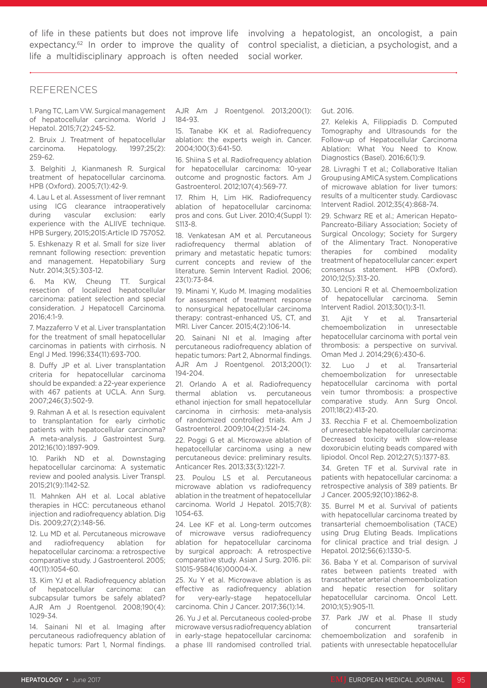of life in these patients but does not improve life involving a hepatologist, an oncologist, a pain expectancy.<sup>62</sup> In order to improve the quality of life a multidisciplinary approach is often needed

control specialist, a dietician, a psychologist, and a social worker.

#### REFERENCES

1. Pang TC, Lam VW. Surgical management of hepatocellular carcinoma. World J Hepatol. 2015;7(2):245-52.

2. Bruix J. Treatment of hepatocellular carcinoma. Hepatology. 1997;25(2): 259-62.

3. Belghiti J, Kianmanesh R. Surgical treatment of hepatocellular carcinoma. HPB (Oxford). 2005;7(1):42-9.

4. Lau L et al. Assessment of liver remnant using ICG clearance intraoperatively during vascular exclusion: early experience with the ALIIVE technique. HPB Surgery, 2015;2015:Article ID 757052.

5. Eshkenazy R et al. Small for size liver remnant following resection: prevention and management. Hepatobiliary Surg Nutr. 2014;3(5):303-12.

6. Ma KW, Cheung TT. Surgical resection of localized hepatocellular carcinoma: patient selection and special consideration. J Hepatocell Carcinoma. 2016;4:1-9.

7. Mazzaferro V et al. Liver transplantation for the treatment of small hepatocellular carcinomas in patients with cirrhosis. N Engl J Med. 1996;334(11):693-700.

8. Duffy JP et al. Liver transplantation criteria for hepatocellular carcinoma should be expanded: a 22-year experience with 467 patients at UCLA. Ann Surg. 2007;246(3):502-9.

9. Rahman A et al. Is resection equivalent to transplantation for early cirrhotic patients with hepatocellular carcinoma? A meta-analysis. J Gastrointest Surg. 2012;16(10):1897-909.

10. Parikh ND et al. Downstaging hepatocellular carcinoma: A systematic review and pooled analysis. Liver Transpl. 2015;21(9):1142-52.

11. Mahnken AH et al. Local ablative therapies in HCC: percutaneous ethanol injection and radiofrequency ablation. Dig Dis. 2009;27(2):148-56.

12. Lu MD et al. Percutaneous microwave and radiofrequency ablation for hepatocellular carcinoma: a retrospective comparative study. J Gastroenterol. 2005; 40(11):1054-60.

13. Kim YJ et al. Radiofrequency ablation of hepatocellular carcinoma: can subcapsular tumors be safely ablated? AJR Am J Roentgenol. 2008;190(4):  $1029 - 34$ 

14. Sainani NI et al. Imaging after percutaneous radiofrequency ablation of hepatic tumors: Part 1, Normal findings.

AJR Am J Roentgenol. 2013;200(1): 184-93.

15. Tanabe KK et al. Radiofrequency ablation: the experts weigh in. Cancer. 2004;100(3):641-50.

16. Shiina S et al. Radiofrequency ablation for hepatocellular carcinoma: 10-year outcome and prognostic factors. Am J Gastroenterol. 2012;107(4):569-77.

17. Rhim H, Lim HK. Radiofrequency ablation of hepatocellular carcinoma: pros and cons. Gut Liver. 2010;4(Suppl 1): S113-8.

18. Venkatesan AM et al. Percutaneous radiofrequency thermal ablation of primary and metastatic hepatic tumors: current concepts and review of the literature. Semin Intervent Radiol. 2006; 23(1):73-84.

19. Minami Y, Kudo M. Imaging modalities for assessment of treatment response to nonsurgical hepatocellular carcinoma therapy: contrast-enhanced US, CT, and MRI. Liver Cancer. 2015;4(2):106-14.

20. Sainani NI et al. Imaging after percutaneous radiofrequency ablation of hepatic tumors: Part 2, Abnormal findings. AJR Am J Roentgenol. 2013;200(1): 194-204.

21. Orlando A et al. Radiofrequency thermal ablation vs. percutaneous ethanol injection for small hepatocellular carcinoma in cirrhosis: meta-analysis of randomized controlled trials. Am J Gastroenterol. 2009;104(2):514-24.

22. Poggi G et al. Microwave ablation of hepatocellular carcinoma using a new percutaneous device: preliminary results. Anticancer Res. 2013;33(3):1221-7.

23. Poulou LS et al. Percutaneous microwave ablation vs radiofrequency ablation in the treatment of hepatocellular carcinoma. World J Hepatol. 2015;7(8): 1054-63.

24. Lee KF et al. Long-term outcomes of microwave versus radiofrequency ablation for hepatocellular carcinoma by surgical approach: A retrospective comparative study. Asian J Surg. 2016. pii: S1015-9584(16)00004-X.

25. Xu Y et al. Microwave ablation is as effective as radiofrequency ablation for very-early-stage hepatocellular carcinoma. Chin J Cancer. 2017;36(1):14.

26. Yu J et al. Percutaneous cooled-probe microwave versus radiofrequency ablation in early-stage hepatocellular carcinoma: a phase III randomised controlled trial.

Gut. 2016.

27. Kelekis A, Filippiadis D. Computed Tomography and Ultrasounds for the Follow-up of Hepatocellular Carcinoma Ablation: What You Need to Know. Diagnostics (Basel). 2016;6(1):9.

28. Livraghi T et al.; Collaborative Italian Group using AMICA system. Complications of microwave ablation for liver tumors: results of a multicenter study. Cardiovasc Intervent Radiol. 2012;35(4):868-74.

29. Schwarz RE et al.; American Hepato-Pancreato-Biliary Association; Society of Surgical Oncology; Society for Surgery of the Alimentary Tract. Nonoperative therapies for combined modality treatment of hepatocellular cancer: expert consensus statement. HPB (Oxford). 2010;12(5):313-20.

30. Lencioni R et al. Chemoembolization of hepatocellular carcinoma. Semin Intervent Radiol. 2013;30(1):3-11.

31. Ajit Y et al. Transarterial chemoembolization in unresectable hepatocellular carcinoma with portal vein thrombosis: a perspective on survival. Oman Med J. 2014;29(6):430-6.

32. Luo J et al. Transarterial chemoembolization for unresectable hepatocellular carcinoma with portal vein tumor thrombosis: a prospective comparative study. Ann Surg Oncol. 2011;18(2):413-20.

33. Recchia F et al. Chemoembolization of unresectable hepatocellular carcinoma: Decreased toxicity with slow-release doxorubicin eluting beads compared with lipiodol. Oncol Rep. 2012;27(5):1377-83.

34. Greten TF et al. Survival rate in patients with hepatocellular carcinoma: a retrospective analysis of 389 patients. Br J Cancer. 2005;92(10):1862-8.

35. Burrel M et al. Survival of patients with hepatocellular carcinoma treated by transarterial chemoembolisation (TACE) using Drug Eluting Beads. Implications for clinical practice and trial design. J Hepatol. 2012;56(6):1330-5.

36. Baba Y et al. Comparison of survival rates between patients treated with transcatheter arterial chemoembolization and hepatic resection for solitary hepatocellular carcinoma. Oncol Lett. 2010;1(5):905-11.

37. Park JW et al. Phase II study of concurrent transarterial chemoembolization and sorafenib in patients with unresectable hepatocellular